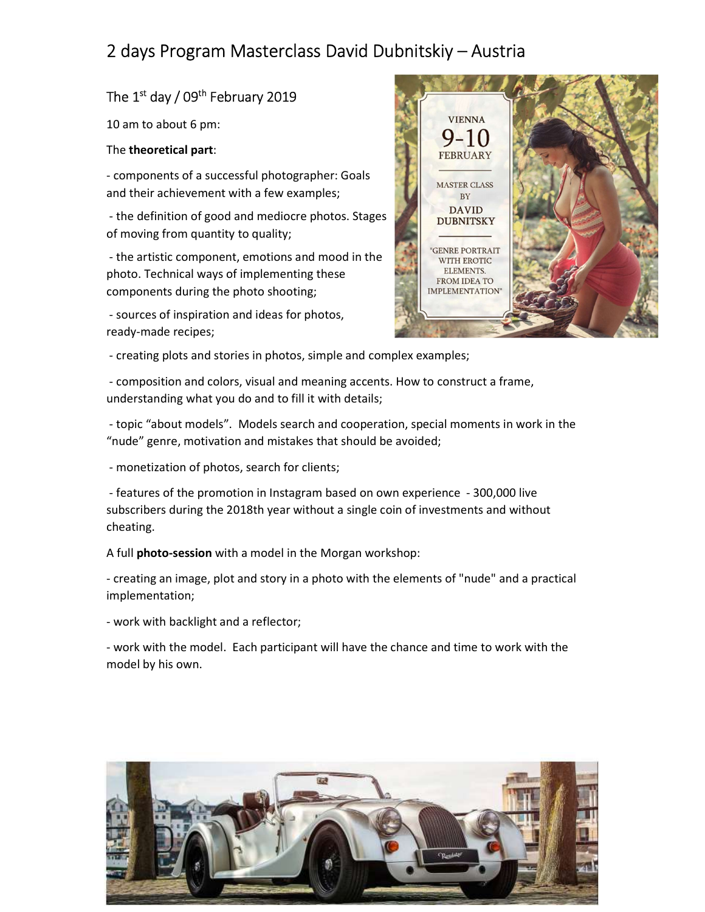# 2 days Program Masterclass David Dubnitskiy – Austria

## The  $1<sup>st</sup>$  day / 09<sup>th</sup> February 2019

10 am to about 6 pm:

### The theoretical part:

- components of a successful photographer: Goals MASTER CLASS and their achievement with a few examples;

- the definition of good and mediocre photos. Stages **ANDIS DENITEY** of moving from quantity to quality;

- the artistic component, emotions and mood in the TAT THE ROTIC photo. Technical ways of implementing these components during the photo shooting;

 - sources of inspiration and ideas for photos, ready-made recipes;



- creating plots and stories in photos, simple and complex examples;

 - composition and colors, visual and meaning accents. How to construct a frame, understanding what you do and to fill it with details;

 - topic "about models". Models search and cooperation, special moments in work in the "nude" genre, motivation and mistakes that should be avoided;

- monetization of photos, search for clients;

 - features of the promotion in Instagram based on own experience - 300,000 live subscribers during the 2018th year without a single coin of investments and without cheating.

A full photo-session with a model in the Morgan workshop:

- creating an image, plot and story in a photo with the elements of "nude" and a practical implementation;

- work with backlight and a reflector;

- work with the model. Each participant will have the chance and time to work with the model by his own.